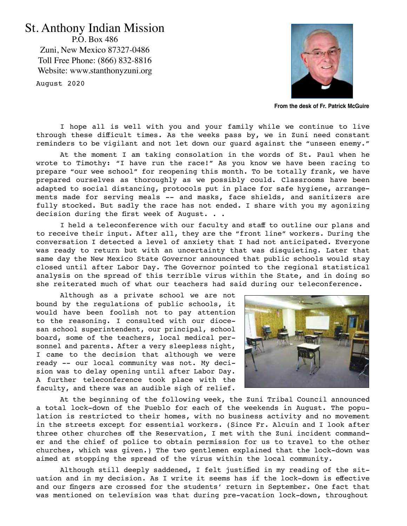## St. Anthony Indian Mission

P.O. Box 486 Zuni, New Mexico 87327-0486 Toll Free Phone: (866) 832-8816 Website: www.stanthonyzuni.org

August 2020



**From the desk of Fr. Patrick McGuire**

I hope all is well with you and your family while we continue to live through these difficult times. As the weeks pass by, we in Zuni need constant reminders to be vigilant and not let down our guard against the "unseen enemy."

At the moment I am taking consolation in the words of St. Paul when he wrote to Timothy: "I have run the race!" As you know we have been racing to prepare "our wee school" for reopening this month. To be totally frank, we have prepared ourselves as thoroughly as we possibly could. Classrooms have been adapted to social distancing, protocols put in place for safe hygiene, arrangements made for serving meals -- and masks, face shields, and sanitizers are fully stocked. But sadly the race has not ended. I share with you my agonizing decision during the first week of August. . .

I held a teleconference with our faculty and staff to outline our plans and to receive their input. After all, they are the "front line" workers. During the conversation I detected a level of anxiety that I had not anticipated. Everyone was ready to return but with an uncertainty that was disquieting. Later that same day the New Mexico State Governor announced that public schools would stay closed until after Labor Day. The Governor pointed to the regional statistical analysis on the spread of this terrible virus within the State, and in doing so she reiterated much of what our teachers had said during our teleconference.

Although as a private school we are not bound by the regulations of public schools, it would have been foolish not to pay attention to the reasoning. I consulted with our diocesan school superintendent, our principal, school board, some of the teachers, local medical personnel and parents. After a very sleepless night, I came to the decision that although we were ready -- our local community was not. My decision was to delay opening until after Labor Day. A further teleconference took place with the faculty, and there was an audible sigh of relief.



At the beginning of the following week, the Zuni Tribal Council announced a total lock-down of the Pueblo for each of the weekends in August. The population is restricted to their homes, with no business activity and no movement in the streets except for essential workers. (Since Fr. Alcuin and I look after three other churches off the Reservation, I met with the Zuni incident commander and the chief of police to obtain permission for us to travel to the other churches, which was given.) The two gentlemen explained that the lock-down was aimed at stopping the spread of the virus within the local community.

Although still deeply saddened, I felt justified in my reading of the situation and in my decision. As I write it seems has if the lock-down is effective and our fingers are crossed for the students' return in September. One fact that was mentioned on television was that during pre-vacation lock-down, throughout